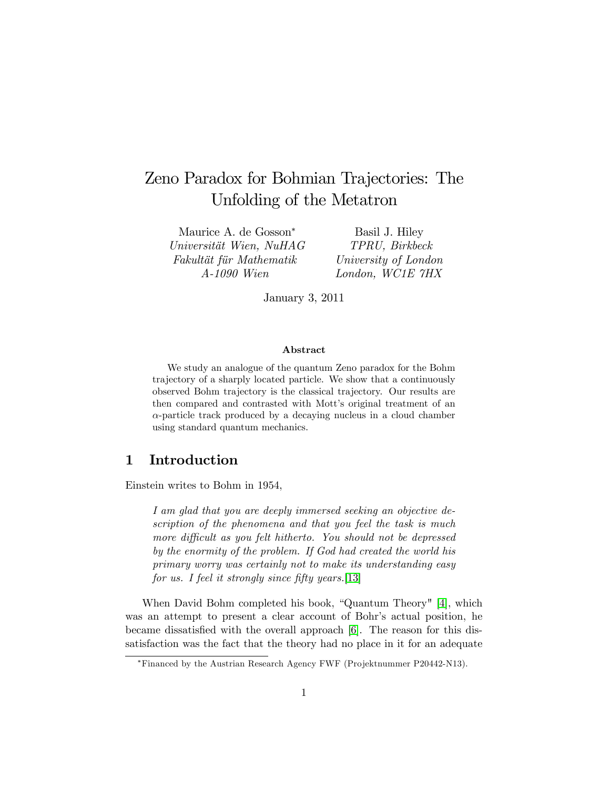# Zeno Paradox for Bohmian Trajectories: The Unfolding of the Metatron

Maurice A. de Gosson Universität Wien, NuHAG Fakultät für Mathematik A-1090 Wien

Basil J. Hiley TPRU, Birkbeck University of London London, WC1E 7HX

January 3, 2011

### Abstract

We study an analogue of the quantum Zeno paradox for the Bohm trajectory of a sharply located particle. We show that a continuously observed Bohm trajectory is the classical trajectory. Our results are then compared and contrasted with Mott's original treatment of an  $\alpha$ -particle track produced by a decaying nucleus in a cloud chamber using standard quantum mechanics.

# 1 Introduction

Einstein writes to Bohm in 1954,

I am glad that you are deeply immersed seeking an objective description of the phenomena and that you feel the task is much more difficult as you felt hitherto. You should not be depressed by the enormity of the problem. If God had created the world his primary worry was certainly not to make its understanding easy for us. I feel it strongly since fifty years. [\[13\]](#page-18-0)

When David Bohm completed his book, "Quantum Theory" [\[4\]](#page-18-1), which was an attempt to present a clear account of Bohr's actual position, he became dissatisfied with the overall approach [\[6\]](#page-18-2). The reason for this dissatisfaction was the fact that the theory had no place in it for an adequate

Financed by the Austrian Research Agency FWF (Projektnummer P20442-N13).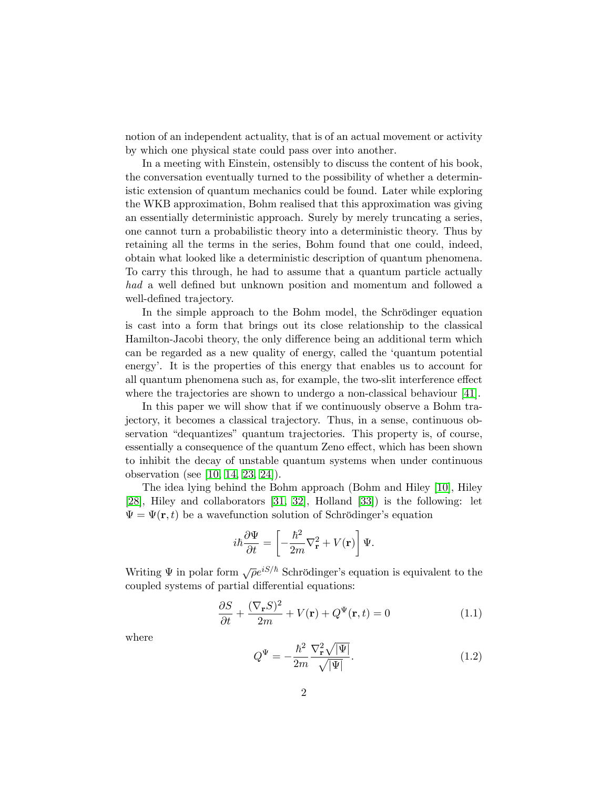notion of an independent actuality, that is of an actual movement or activity by which one physical state could pass over into another.

In a meeting with Einstein, ostensibly to discuss the content of his book, the conversation eventually turned to the possibility of whether a deterministic extension of quantum mechanics could be found. Later while exploring the WKB approximation, Bohm realised that this approximation was giving an essentially deterministic approach. Surely by merely truncating a series, one cannot turn a probabilistic theory into a deterministic theory. Thus by retaining all the terms in the series, Bohm found that one could, indeed, obtain what looked like a deterministic description of quantum phenomena. To carry this through, he had to assume that a quantum particle actually had a well defined but unknown position and momentum and followed a well-defined trajectory.

In the simple approach to the Bohm model, the Schrödinger equation is cast into a form that brings out its close relationship to the classical Hamilton-Jacobi theory, the only difference being an additional term which can be regarded as a new quality of energy, called the ëquantum potential energy. It is the properties of this energy that enables us to account for all quantum phenomena such as, for example, the two-slit interference effect where the trajectories are shown to undergo a non-classical behaviour [\[41\]](#page-20-0).

In this paper we will show that if we continuously observe a Bohm trajectory, it becomes a classical trajectory. Thus, in a sense, continuous observation "dequantizes" quantum trajectories. This property is, of course, essentially a consequence of the quantum Zeno effect, which has been shown to inhibit the decay of unstable quantum systems when under continuous observation (see [\[10,](#page-18-3) [14,](#page-18-4) [23,](#page-19-0) [24\]](#page-19-1)).

The idea lying behind the Bohm approach (Bohm and Hiley [\[10\]](#page-18-3), Hiley [\[28\]](#page-19-2), Hiley and collaborators [\[31,](#page-20-1) [32\]](#page-20-2), Holland [\[33\]](#page-20-3)) is the following: let  $\Psi = \Psi(\mathbf{r}, t)$  be a wavefunction solution of Schrödinger's equation

$$
i\hbar \frac{\partial \Psi}{\partial t} = \left[ -\frac{\hbar^2}{2m} \nabla_{\mathbf{r}}^2 + V(\mathbf{r}) \right] \Psi.
$$

Writing  $\Psi$  in polar form  $\sqrt{\rho}e^{iS/\hbar}$  Schrödinger's equation is equivalent to the coupled systems of partial differential equations:

<span id="page-1-0"></span>
$$
\frac{\partial S}{\partial t} + \frac{(\nabla_{\mathbf{r}} S)^2}{2m} + V(\mathbf{r}) + Q^{\Psi}(\mathbf{r}, t) = 0 \tag{1.1}
$$

where

$$
Q^{\Psi} = -\frac{\hbar^2}{2m} \frac{\nabla_{\mathbf{r}}^2 \sqrt{|\Psi|}}{\sqrt{|\Psi|}}.
$$
\n(1.2)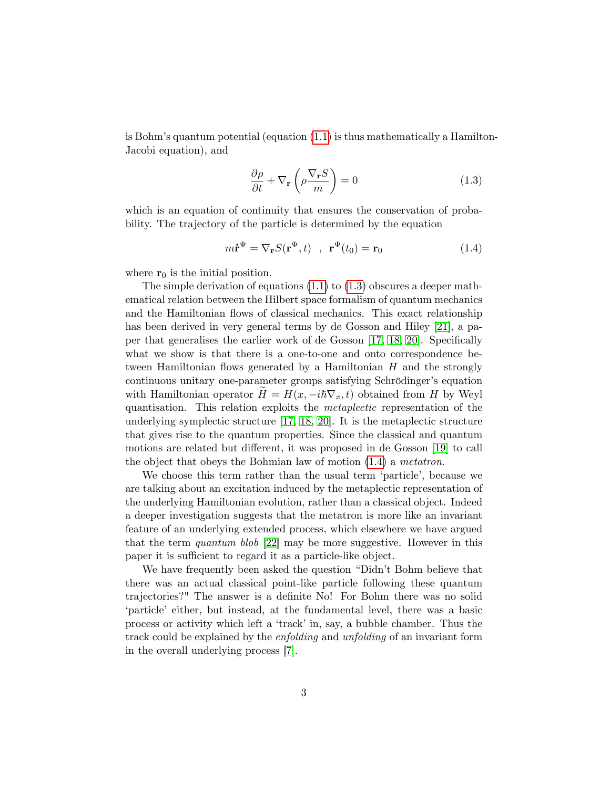is Bohm's quantum potential (equation  $(1.1)$ ) is thus mathematically a Hamilton-Jacobi equation), and

<span id="page-2-0"></span>
$$
\frac{\partial \rho}{\partial t} + \nabla_{\mathbf{r}} \left( \rho \frac{\nabla_{\mathbf{r}} S}{m} \right) = 0 \tag{1.3}
$$

which is an equation of continuity that ensures the conservation of probability. The trajectory of the particle is determined by the equation

<span id="page-2-1"></span>
$$
m\dot{\mathbf{r}}^{\Psi} = \nabla_{\mathbf{r}} S(\mathbf{r}^{\Psi}, t) \quad , \quad \mathbf{r}^{\Psi}(t_0) = \mathbf{r}_0 \tag{1.4}
$$

where  $r_0$  is the initial position.

The simple derivation of equations [\(1.1\)](#page-1-0) to [\(1.3\)](#page-2-0) obscures a deeper mathematical relation between the Hilbert space formalism of quantum mechanics and the Hamiltonian flows of classical mechanics. This exact relationship has been derived in very general terms by de Gosson and Hiley [\[21\]](#page-19-3), a pa-per that generalises the earlier work of de Gosson [\[17,](#page-19-4) [18,](#page-19-5) [20\]](#page-19-6). Specifically what we show is that there is a one-to-one and onto correspondence between Hamiltonian flows generated by a Hamiltonian  $H$  and the strongly continuous unitary one-parameter groups satisfying Schrödinger's equation with Hamiltonian operator  $H = H(x, -i\hbar\nabla_x, t)$  obtained from H by Weyl quantisation. This relation exploits the metaplectic representation of the underlying symplectic structure [\[17,](#page-19-4) [18,](#page-19-5) [20\]](#page-19-6). It is the metaplectic structure that gives rise to the quantum properties. Since the classical and quantum motions are related but different, it was proposed in de Gosson [\[19\]](#page-19-7) to call the object that obeys the Bohmian law of motion  $(1.4)$  a metatron.

We choose this term rather than the usual term 'particle', because we are talking about an excitation induced by the metaplectic representation of the underlying Hamiltonian evolution, rather than a classical object. Indeed a deeper investigation suggests that the metatron is more like an invariant feature of an underlying extended process, which elsewhere we have argued that the term *quantum blob* [\[22\]](#page-19-8) may be more suggestive. However in this paper it is sufficient to regard it as a particle-like object.

We have frequently been asked the question "Didn't Bohm believe that there was an actual classical point-like particle following these quantum trajectories?" The answer is a definite No! For Bohm there was no solid particle either, but instead, at the fundamental level, there was a basic process or activity which left a 'track' in, say, a bubble chamber. Thus the track could be explained by the enfolding and unfolding of an invariant form in the overall underlying process [\[7\]](#page-18-5).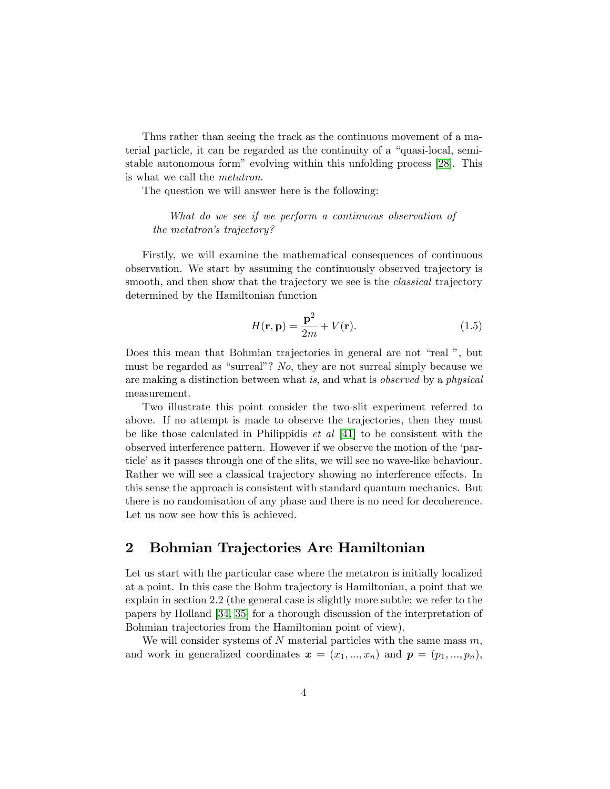Thus rather than seeing the track as the continuous movement of a material particle, it can be regarded as the continuity of a "quasi-local, semi-stable autonomous form" evolving within this unfolding process [\[28\]](#page-19-2). This is what we call the metatron.

The question we will answer here is the following:

What do we see if we perform a continuous observation of the metatron's trajectory?

Firstly, we will examine the mathematical consequences of continuous observation. We start by assuming the continuously observed trajectory is smooth, and then show that the trajectory we see is the *classical* trajectory determined by the Hamiltonian function

$$
H(\mathbf{r}, \mathbf{p}) = \frac{\mathbf{p}^2}{2m} + V(\mathbf{r}).
$$
\n(1.5)

Does this mean that Bohmian trajectories in general are not "real", but must be regarded as "surreal"? No, they are not surreal simply because we are making a distinction between what is, and what is observed by a physical measurement.

Two illustrate this point consider the two-slit experiment referred to above. If no attempt is made to observe the trajectories, then they must be like those calculated in Philippidis *et al* [\[41\]](#page-20-0) to be consistent with the observed interference pattern. However if we observe the motion of the ëparticle' as it passes through one of the slits, we will see no wave-like behaviour. Rather we will see a classical trajectory showing no interference effects. In this sense the approach is consistent with standard quantum mechanics. But there is no randomisation of any phase and there is no need for decoherence. Let us now see how this is achieved.

# 2 Bohmian Trajectories Are Hamiltonian

Let us start with the particular case where the metatron is initially localized at a point. In this case the Bohm trajectory is Hamiltonian, a point that we explain in section 2.2 (the general case is slightly more subtle; we refer to the papers by Holland [\[34,](#page-20-4) [35\]](#page-20-5) for a thorough discussion of the interpretation of Bohmian trajectories from the Hamiltonian point of view).

We will consider systems of  $N$  material particles with the same mass  $m$ , and work in generalized coordinates  $\boldsymbol{x} = (x_1, ..., x_n)$  and  $\boldsymbol{p} = (p_1, ..., p_n)$ ,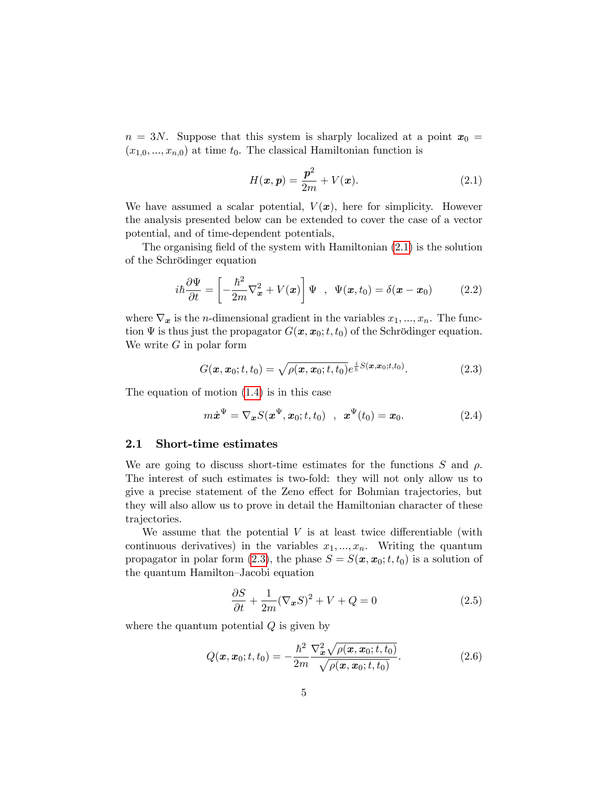$n = 3N$ . Suppose that this system is sharply localized at a point  $x_0 =$  $(x_{1,0},...,x_{n,0})$  at time  $t_0$ . The classical Hamiltonian function is

<span id="page-4-0"></span>
$$
H(\boldsymbol{x}, \boldsymbol{p}) = \frac{\boldsymbol{p}^2}{2m} + V(\boldsymbol{x}).
$$
\n(2.1)

We have assumed a scalar potential,  $V(x)$ , here for simplicity. However the analysis presented below can be extended to cover the case of a vector potential, and of time-dependent potentials,

The organising field of the system with Hamiltonian  $(2.1)$  is the solution of the Schrödinger equation

$$
i\hbar \frac{\partial \Psi}{\partial t} = \left[ -\frac{\hbar^2}{2m} \nabla_x^2 + V(x) \right] \Psi , \quad \Psi(x, t_0) = \delta(x - x_0) \quad (2.2)
$$

where  $\nabla_x$  is the *n*-dimensional gradient in the variables  $x_1, ..., x_n$ . The function  $\Psi$  is thus just the propagator  $G(x, x_0; t, t_0)$  of the Schrödinger equation. We write  $G$  in polar form

<span id="page-4-1"></span>
$$
G(\mathbf{x}, \mathbf{x}_0; t, t_0) = \sqrt{\rho(\mathbf{x}, \mathbf{x}_0; t, t_0)} e^{\frac{i}{\hbar} S(\mathbf{x}, \mathbf{x}_0; t, t_0)}.
$$
 (2.3)

The equation of motion [\(1.4\)](#page-2-1) is in this case

<span id="page-4-2"></span>
$$
m\dot{x}^{\Psi} = \nabla_{\bm{x}} S(\bm{x}^{\Psi}, \bm{x}_0; t, t_0) \quad , \quad \bm{x}^{\Psi}(t_0) = \bm{x}_0. \tag{2.4}
$$

## 2.1 Short-time estimates

We are going to discuss short-time estimates for the functions S and  $\rho$ . The interest of such estimates is two-fold: they will not only allow us to give a precise statement of the Zeno effect for Bohmian trajectories, but they will also allow us to prove in detail the Hamiltonian character of these trajectories.

We assume that the potential  $V$  is at least twice differentiable (with continuous derivatives) in the variables  $x_1, ..., x_n$ . Writing the quantum propagator in polar form [\(2.3\)](#page-4-1), the phase  $S = S(\mathbf{x}, \mathbf{x}_0; t, t_0)$  is a solution of the quantum Hamilton–Jacobi equation

$$
\frac{\partial S}{\partial t} + \frac{1}{2m} (\nabla_x S)^2 + V + Q = 0 \tag{2.5}
$$

where the quantum potential  $Q$  is given by

$$
Q(\mathbf{x}, \mathbf{x}_0; t, t_0) = -\frac{\hbar^2}{2m} \frac{\nabla_{\mathbf{x}}^2 \sqrt{\rho(\mathbf{x}, \mathbf{x}_0; t, t_0)}}{\sqrt{\rho(\mathbf{x}, \mathbf{x}_0; t, t_0)}}.
$$
(2.6)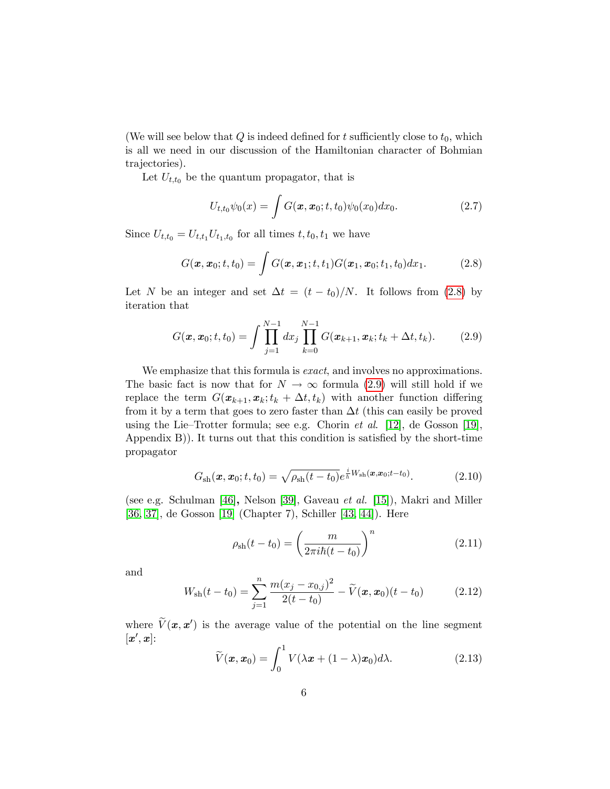(We will see below that Q is indeed defined for t sufficiently close to  $t_0$ , which is all we need in our discussion of the Hamiltonian character of Bohmian trajectories).

Let  $U_{t,t_0}$  be the quantum propagator, that is

$$
U_{t,t_0}\psi_0(x) = \int G(\boldsymbol{x}, \boldsymbol{x}_0; t, t_0)\psi_0(x_0)dx_0.
$$
 (2.7)

Since  $U_{t,t_0} = U_{t,t_1} U_{t_1,t_0}$  for all times  $t, t_0, t_1$  we have

<span id="page-5-0"></span>
$$
G(\boldsymbol{x},\boldsymbol{x}_0;t,t_0)=\int G(\boldsymbol{x},\boldsymbol{x}_1;t,t_1)G(\boldsymbol{x}_1,\boldsymbol{x}_0;t_1,t_0)dx_1.
$$
 (2.8)

Let N be an integer and set  $\Delta t = (t - t_0)/N$ . It follows from [\(2.8\)](#page-5-0) by iteration that

<span id="page-5-1"></span>
$$
G(\boldsymbol{x}, \boldsymbol{x}_0; t, t_0) = \int \prod_{j=1}^{N-1} dx_j \prod_{k=0}^{N-1} G(\boldsymbol{x}_{k+1}, \boldsymbol{x}_k; t_k + \Delta t, t_k).
$$
 (2.9)

We emphasize that this formula is *exact*, and involves no approximations. The basic fact is now that for  $N \to \infty$  formula [\(2.9\)](#page-5-1) will still hold if we replace the term  $G(\mathbf{x}_{k+1}, \mathbf{x}_k; t_k + \Delta t, t_k)$  with another function differing from it by a term that goes to zero faster than  $\Delta t$  (this can easily be proved using the Lie–Trotter formula; see e.g. Chorin et al. [\[12\]](#page-18-6), de Gosson [\[19\]](#page-19-7), Appendix  $B$ ). It turns out that this condition is satisfied by the short-time propagator

$$
G_{\rm sh}(\mathbf{x}, \mathbf{x}_0; t, t_0) = \sqrt{\rho_{\rm sh}(t - t_0)} e^{\frac{i}{\hbar} W_{\rm sh}(\mathbf{x}, \mathbf{x}_0; t - t_0)}.
$$
 (2.10)

(see e.g. Schulman [\[46\]](#page-21-0), Nelson [\[39\]](#page-20-6), Gaveau et al. [\[15\]](#page-18-7)), Makri and Miller [\[36,](#page-20-7) [37\]](#page-20-8), de Gosson [\[19\]](#page-19-7) (Chapter 7), Schiller [\[43,](#page-21-1) [44\]](#page-21-2)). Here

<span id="page-5-2"></span>
$$
\rho_{\rm sh}(t - t_0) = \left(\frac{m}{2\pi i\hbar(t - t_0)}\right)^n \tag{2.11}
$$

and

$$
W_{\rm sh}(t-t_0) = \sum_{j=1}^{n} \frac{m(x_j - x_{0,j})^2}{2(t-t_0)} - \widetilde{V}(\boldsymbol{x}, \boldsymbol{x}_0)(t-t_0)
$$
(2.12)

where  $V(\mathbf{x}, \mathbf{x}')$  is the average value of the potential on the line segment  $[\boldsymbol{x}',\boldsymbol{x}]$ :

$$
\widetilde{V}(\boldsymbol{x}, \boldsymbol{x}_0) = \int_0^1 V(\lambda \boldsymbol{x} + (1 - \lambda) \boldsymbol{x}_0) d\lambda.
$$
 (2.13)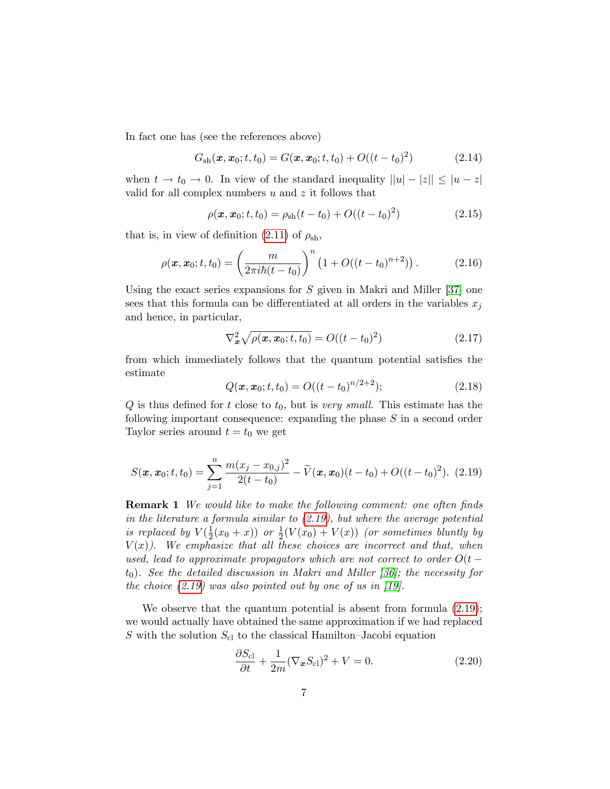In fact one has (see the references above)

$$
G_{\rm sh}(\mathbf{x}, \mathbf{x}_0; t, t_0) = G(\mathbf{x}, \mathbf{x}_0; t, t_0) + O((t - t_0)^2)
$$
 (2.14)

when  $t \to t_0 \to 0$ . In view of the standard inequality  $||u| - |z|| \leq |u - z|$ valid for all complex numbers  $u$  and  $z$  it follows that

$$
\rho(\mathbf{x}, \mathbf{x}_0; t, t_0) = \rho_{sh}(t - t_0) + O((t - t_0)^2)
$$
\n(2.15)

that is, in view of definition [\(2.11\)](#page-5-2) of  $\rho_{\rm sh}$ ,

$$
\rho(\boldsymbol{x}, \boldsymbol{x}_0; t, t_0) = \left(\frac{m}{2\pi i\hbar(t - t_0)}\right)^n \left(1 + O((t - t_0)^{n+2})\right). \tag{2.16}
$$

Using the exact series expansions for  $S$  given in Makri and Miller [\[37\]](#page-20-8) one sees that this formula can be differentiated at all orders in the variables  $x_j$ and hence, in particular,

$$
\nabla_{\bm{x}}^2 \sqrt{\rho(\bm{x}, \bm{x}_0; t, t_0)} = O((t - t_0)^2)
$$
\n(2.17)

from which immediately follows that the quantum potential satisfies the estimate

$$
Q(\boldsymbol{x}, \boldsymbol{x}_0; t, t_0) = O((t - t_0)^{n/2 + 2}); \tag{2.18}
$$

 $Q$  is thus defined for t close to  $t_0$ , but is very small. This estimate has the following important consequence: expanding the phase  $S$  in a second order Taylor series around  $t = t_0$  we get

<span id="page-6-0"></span>
$$
S(\boldsymbol{x}, \boldsymbol{x}_0; t, t_0) = \sum_{j=1}^n \frac{m(x_j - x_{0,j})^2}{2(t - t_0)} - \widetilde{V}(\boldsymbol{x}, \boldsymbol{x}_0)(t - t_0) + O((t - t_0)^2). \tag{2.19}
$$

**Remark 1** We would like to make the following comment: one often finds in the literature a formula similar to [\(2.19\)](#page-6-0), but where the average potential is replaced by  $V(\frac{1}{2})$  $\frac{1}{2}(x_0+x)$  or  $\frac{1}{2}(V(x_0)+V(x))$  (or sometimes bluntly by  $V(x)$ ). We emphasize that all these choices are incorrect and that, when used, lead to approximate propagators which are not correct to order  $O(t$  $t_0$ ). See the detailed discussion in Makri and Miller [\[36\]](#page-20-7); the necessity for the choice  $(2.19)$  was also pointed out by one of us in [\[19\]](#page-19-7).

We observe that the quantum potential is absent from formula  $(2.19)$ ; we would actually have obtained the same approximation if we had replaced S with the solution  $S_{c}$  to the classical Hamilton–Jacobi equation

$$
\frac{\partial S_{\rm cl}}{\partial t} + \frac{1}{2m} (\nabla_{\mathbf{x}} S_{\rm cl})^2 + V = 0.
$$
 (2.20)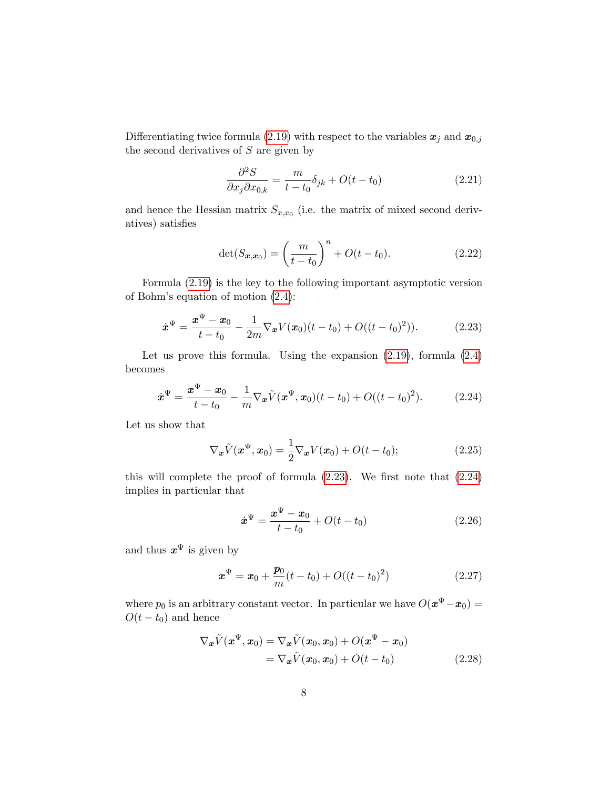Differentiating twice formula [\(2.19\)](#page-6-0) with respect to the variables  $x_j$  and  $x_{0,j}$ the second derivatives of  $S$  are given by

$$
\frac{\partial^2 S}{\partial x_j \partial x_{0,k}} = \frac{m}{t - t_0} \delta_{jk} + O(t - t_0)
$$
\n(2.21)

and hence the Hessian matrix  $S_{x,x_0}$  (i.e. the matrix of mixed second derivatives) satisfies

<span id="page-7-3"></span>
$$
\det(S_{\bm{x},\bm{x}_0}) = \left(\frac{m}{t-t_0}\right)^n + O(t-t_0). \tag{2.22}
$$

Formula [\(2.19\)](#page-6-0) is the key to the following important asymptotic version of Bohm's equation of motion  $(2.4)$ :

<span id="page-7-0"></span>
$$
\dot{\boldsymbol{x}}^{\Psi} = \frac{\boldsymbol{x}^{\Psi} - \boldsymbol{x}_0}{t - t_0} - \frac{1}{2m} \nabla_{\boldsymbol{x}} V(\boldsymbol{x}_0)(t - t_0) + O((t - t_0)^2)). \tag{2.23}
$$

Let us prove this formula. Using the expansion [\(2.19\)](#page-6-0), formula [\(2.4\)](#page-4-2) becomes

<span id="page-7-1"></span>
$$
\dot{\boldsymbol{x}}^{\Psi} = \frac{\boldsymbol{x}^{\Psi} - \boldsymbol{x}_0}{t - t_0} - \frac{1}{m} \nabla_{\boldsymbol{x}} \tilde{V}(\boldsymbol{x}^{\Psi}, \boldsymbol{x}_0) (t - t_0) + O((t - t_0)^2). \tag{2.24}
$$

Let us show that

<span id="page-7-2"></span>
$$
\nabla_{\boldsymbol{x}}\tilde{V}(\boldsymbol{x}^{\Psi},\boldsymbol{x}_0)=\frac{1}{2}\nabla_{\boldsymbol{x}}V(\boldsymbol{x}_0)+O(t-t_0); \qquad (2.25)
$$

this will complete the proof of formula  $(2.23)$ . We first note that  $(2.24)$ implies in particular that

$$
\dot{x}^{\Psi} = \frac{x^{\Psi} - x_0}{t - t_0} + O(t - t_0)
$$
\n(2.26)

and thus  $x^{\Psi}$  is given by

<span id="page-7-4"></span>
$$
\boldsymbol{x}^{\Psi} = \boldsymbol{x}_0 + \frac{\boldsymbol{p}_0}{m}(t - t_0) + O((t - t_0)^2)
$$
 (2.27)

where  $p_0$  is an arbitrary constant vector. In particular we have  $O(\boldsymbol{x}^{\Psi} - \boldsymbol{x}_0) =$  $O(t - t_0)$  and hence

$$
\nabla_{\boldsymbol{x}} \tilde{V}(\boldsymbol{x}^{\Psi}, \boldsymbol{x}_0) = \nabla_{\boldsymbol{x}} \tilde{V}(\boldsymbol{x}_0, \boldsymbol{x}_0) + O(\boldsymbol{x}^{\Psi} - \boldsymbol{x}_0)
$$
  
= 
$$
\nabla_{\boldsymbol{x}} \tilde{V}(\boldsymbol{x}_0, \boldsymbol{x}_0) + O(t - t_0)
$$
 (2.28)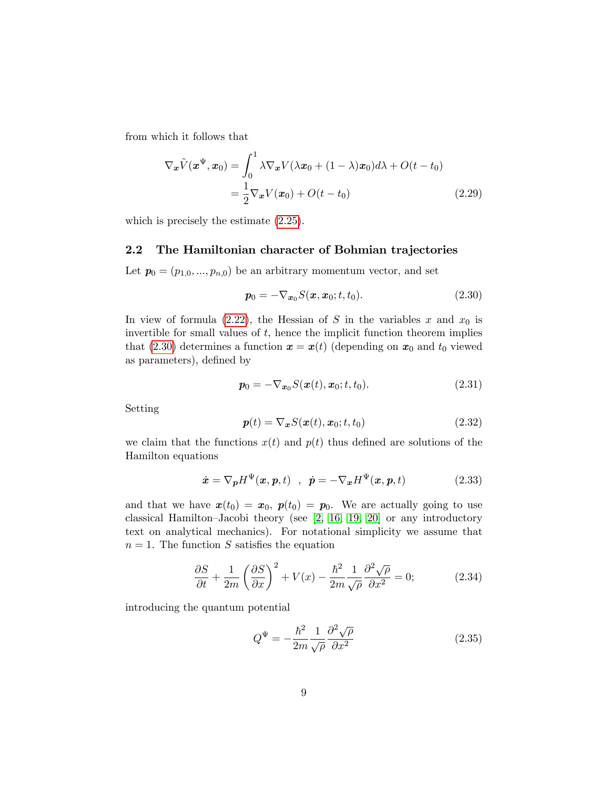from which it follows that

$$
\nabla_{\boldsymbol{x}} \tilde{V}(\boldsymbol{x}^{\Psi}, \boldsymbol{x}_0) = \int_0^1 \lambda \nabla_{\boldsymbol{x}} V(\lambda \boldsymbol{x}_0 + (1 - \lambda) \boldsymbol{x}_0) d\lambda + O(t - t_0)
$$
  
= 
$$
\frac{1}{2} \nabla_{\boldsymbol{x}} V(\boldsymbol{x}_0) + O(t - t_0)
$$
(2.29)

which is precisely the estimate [\(2.25\)](#page-7-2).

## 2.2 The Hamiltonian character of Bohmian trajectories

Let  $p_0 = (p_{1,0},...,p_{n,0})$  be an arbitrary momentum vector, and set

<span id="page-8-0"></span>
$$
\boldsymbol{p}_0 = -\nabla_{\boldsymbol{x}_0} S(\boldsymbol{x}, \boldsymbol{x}_0; t, t_0). \tag{2.30}
$$

In view of formula [\(2.22\)](#page-7-3), the Hessian of S in the variables x and  $x_0$  is invertible for small values of  $t$ , hence the implicit function theorem implies that [\(2.30\)](#page-8-0) determines a function  $\mathbf{x} = \mathbf{x}(t)$  (depending on  $\mathbf{x}_0$  and  $t_0$  viewed as parameters), defined by

<span id="page-8-2"></span>
$$
p_0 = -\nabla_{x_0} S(x(t), x_0; t, t_0).
$$
 (2.31)

Setting

<span id="page-8-4"></span>
$$
\boldsymbol{p}(t) = \nabla_{\boldsymbol{x}} S(\boldsymbol{x}(t), \boldsymbol{x}_0; t, t_0) \tag{2.32}
$$

we claim that the functions  $x(t)$  and  $p(t)$  thus defined are solutions of the Hamilton equations

<span id="page-8-3"></span>
$$
\dot{\boldsymbol{x}} = \nabla_{\boldsymbol{p}} H^{\Psi}(\boldsymbol{x}, \boldsymbol{p}, t) \quad , \quad \dot{\boldsymbol{p}} = -\nabla_{\boldsymbol{x}} H^{\Psi}(\boldsymbol{x}, \boldsymbol{p}, t) \tag{2.33}
$$

and that we have  $x(t_0) = x_0$ ,  $p(t_0) = p_0$ . We are actually going to use classical Hamilton–Jacobi theory (see  $[2, 16, 19, 20]$  $[2, 16, 19, 20]$  $[2, 16, 19, 20]$  $[2, 16, 19, 20]$  or any introductory text on analytical mechanics). For notational simplicity we assume that  $n = 1$ . The function S satisfies the equation

<span id="page-8-1"></span>
$$
\frac{\partial S}{\partial t} + \frac{1}{2m} \left( \frac{\partial S}{\partial x} \right)^2 + V(x) - \frac{\hbar^2}{2m} \frac{1}{\sqrt{\rho}} \frac{\partial^2 \sqrt{\rho}}{\partial x^2} = 0; \tag{2.34}
$$

introducing the quantum potential

$$
Q^{\Psi} = -\frac{\hbar^2}{2m} \frac{1}{\sqrt{\rho}} \frac{\partial^2 \sqrt{\rho}}{\partial x^2}
$$
 (2.35)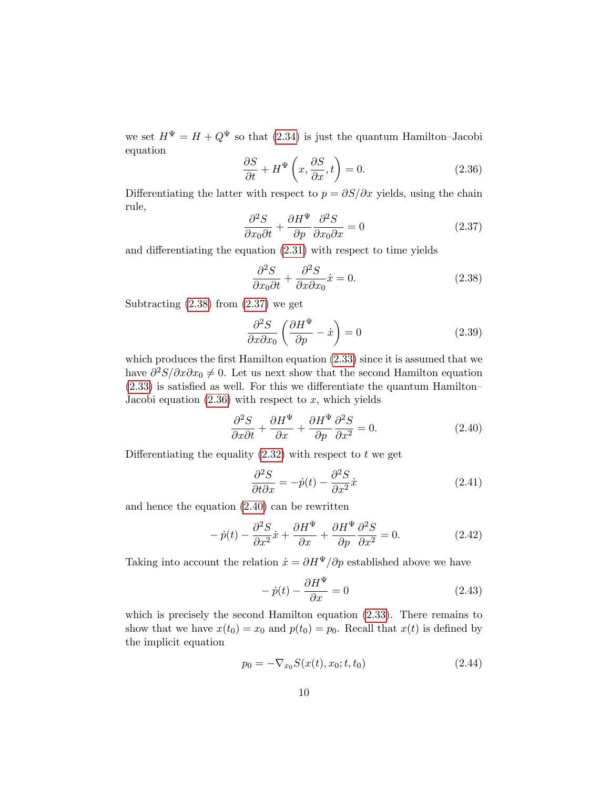we set  $H^{\Psi} = H + Q^{\Psi}$  so that [\(2.34\)](#page-8-1) is just the quantum Hamilton–Jacobi equation

<span id="page-9-2"></span>
$$
\frac{\partial S}{\partial t} + H^{\Psi}\left(x, \frac{\partial S}{\partial x}, t\right) = 0.
$$
 (2.36)

Differentiating the latter with respect to  $p = \partial S/\partial x$  yields, using the chain rule,

<span id="page-9-1"></span>
$$
\frac{\partial^2 S}{\partial x_0 \partial t} + \frac{\partial H^{\Psi}}{\partial p} \frac{\partial^2 S}{\partial x_0 \partial x} = 0
$$
 (2.37)

and differentiating the equation  $(2.31)$  with respect to time yields

<span id="page-9-0"></span>
$$
\frac{\partial^2 S}{\partial x_0 \partial t} + \frac{\partial^2 S}{\partial x \partial x_0} \dot{x} = 0.
$$
 (2.38)

Subtracting  $(2.38)$  from  $(2.37)$  we get

$$
\frac{\partial^2 S}{\partial x \partial x_0} \left( \frac{\partial H^{\Psi}}{\partial p} - \dot{x} \right) = 0 \tag{2.39}
$$

which produces the first Hamilton equation  $(2.33)$  since it is assumed that we have  $\partial^2 S/\partial x \partial x_0 \neq 0$ . Let us next show that the second Hamilton equation  $(2.33)$  is satisfied as well. For this we differentiate the quantum Hamilton– Jacobi equation  $(2.36)$  with respect to x, which yields

<span id="page-9-3"></span>
$$
\frac{\partial^2 S}{\partial x \partial t} + \frac{\partial H^{\Psi}}{\partial x} + \frac{\partial H^{\Psi}}{\partial p} \frac{\partial^2 S}{\partial x^2} = 0.
$$
 (2.40)

Differentiating the equality  $(2.32)$  with respect to t we get

$$
\frac{\partial^2 S}{\partial t \partial x} = -\dot{p}(t) - \frac{\partial^2 S}{\partial x^2} \dot{x}
$$
\n(2.41)

and hence the equation [\(2.40\)](#page-9-3) can be rewritten

$$
- \dot{p}(t) - \frac{\partial^2 S}{\partial x^2} \dot{x} + \frac{\partial H^{\Psi}}{\partial x} + \frac{\partial H^{\Psi}}{\partial p} \frac{\partial^2 S}{\partial x^2} = 0.
$$
 (2.42)

Taking into account the relation  $\dot{x} = \partial H^{\Psi}/\partial p$  established above we have

$$
- \dot{p}(t) - \frac{\partial H^{\Psi}}{\partial x} = 0 \tag{2.43}
$$

which is precisely the second Hamilton equation [\(2.33\)](#page-8-3). There remains to show that we have  $x(t_0) = x_0$  and  $p(t_0) = p_0$ . Recall that  $x(t)$  is defined by the implicit equation

$$
p_0 = -\nabla_{x_0} S(x(t), x_0; t, t_0)
$$
\n(2.44)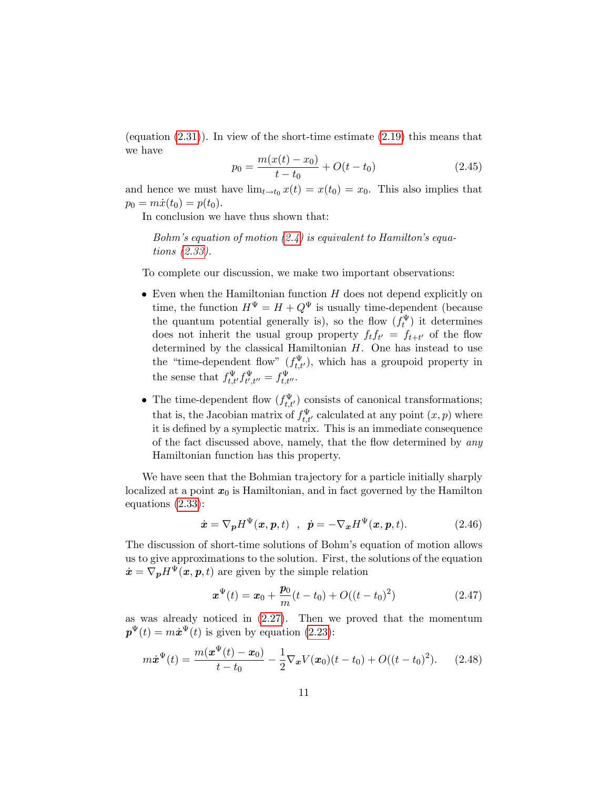(equation [\(2.31\)](#page-8-2)). In view of the short-time estimate [\(2.19\)](#page-6-0) this means that we have

$$
p_0 = \frac{m(x(t) - x_0)}{t - t_0} + O(t - t_0)
$$
\n(2.45)

and hence we must have  $\lim_{t\to t_0} x(t) = x(t_0) = x_0$ . This also implies that  $p_0 = m\dot{x}(t_0) = p(t_0).$ 

In conclusion we have thus shown that:

Bohm's equation of motion  $(2.4)$  is equivalent to Hamilton's equations [\(2.33\)](#page-8-3).

To complete our discussion, we make two important observations:

- $\bullet$  Even when the Hamiltonian function  $H$  does not depend explicitly on time, the function  $H^{\Psi} = H + Q^{\Psi}$  is usually time-dependent (because the quantum potential generally is), so the flow  $(f_t^{\Psi})$  it determines does not inherit the usual group property  $f_t f_{t'} = f_{t+t'}$  of the flow determined by the classical Hamiltonian  $H$ . One has instead to use the "time-dependent flow"  $(f_{t,t'}^{\Psi})$ , which has a groupoid property in the sense that  $f_{t,t'}^{\Psi} f_{t',t''}^{\Psi} = f_{t,t''}^{\Psi}$ .
- The time-dependent flow  $(f_{t,t'}^{\Psi})$  consists of canonical transformations; that is, the Jacobian matrix of  $f_{t,t'}^{\Psi}$  calculated at any point  $(x, p)$  where it is defined by a symplectic matrix. This is an immediate consequence of the fact discussed above, namely, that the flow determined by  $an y$ Hamiltonian function has this property.

We have seen that the Bohmian trajectory for a particle initially sharply localized at a point  $x_0$  is Hamiltonian, and in fact governed by the Hamilton equations [\(2.33\)](#page-8-3):

<span id="page-10-1"></span>
$$
\dot{\boldsymbol{x}} = \nabla_{\boldsymbol{p}} H^{\Psi}(\boldsymbol{x}, \boldsymbol{p}, t) \quad , \quad \dot{\boldsymbol{p}} = -\nabla_{\boldsymbol{x}} H^{\Psi}(\boldsymbol{x}, \boldsymbol{p}, t). \tag{2.46}
$$

The discussion of short-time solutions of Bohm's equation of motion allows us to give approximations to the solution. First, the solutions of the equation  $\dot{\boldsymbol{x}} = \nabla_{\boldsymbol{p}}H^{\Psi}(\boldsymbol{x}, \boldsymbol{p}, t)$  are given by the simple relation

$$
\boldsymbol{x}^{\Psi}(t) = \boldsymbol{x}_0 + \frac{\boldsymbol{p}_0}{m}(t - t_0) + O((t - t_0)^2)
$$
 (2.47)

as was already noticed in [\(2.27\)](#page-7-4). Then we proved that the momentum  $\mathbf{p}^{\Psi}(t) = m\dot{\mathbf{x}}^{\Psi}(t)$  is given by equation [\(2.23\)](#page-7-0):

<span id="page-10-0"></span>
$$
m\dot{x}^{\Psi}(t) = \frac{m(x^{\Psi}(t) - x_0)}{t - t_0} - \frac{1}{2}\nabla_x V(x_0)(t - t_0) + O((t - t_0)^2). \tag{2.48}
$$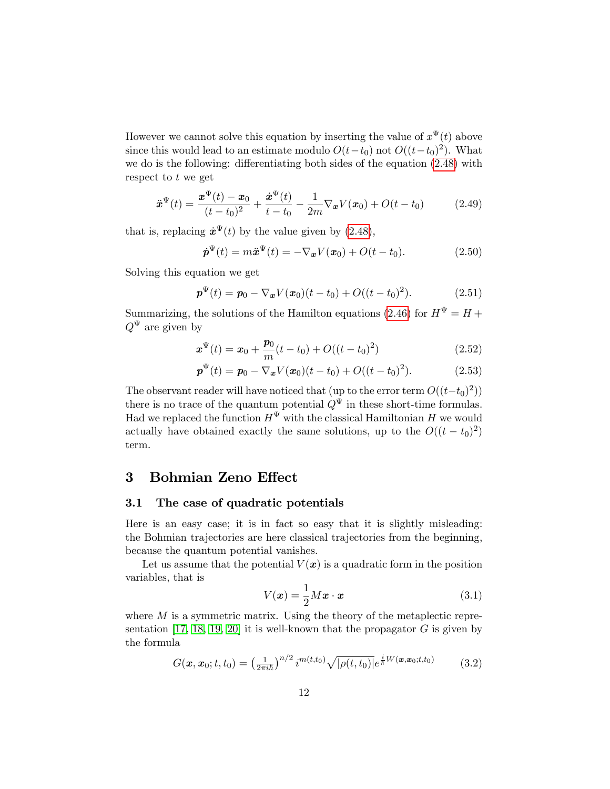However we cannot solve this equation by inserting the value of  $x^{\Psi}(t)$  above since this would lead to an estimate modulo  $O(t-t_0)$  not  $O((t-t_0)^2)$ . What we do is the following: differentiating both sides of the equation  $(2.48)$  with respect to t we get

$$
\ddot{x}^{\Psi}(t) = \frac{\dot{x}^{\Psi}(t) - x_0}{(t - t_0)^2} + \frac{\dot{x}^{\Psi}(t)}{t - t_0} - \frac{1}{2m} \nabla_x V(x_0) + O(t - t_0)
$$
(2.49)

that is, replacing  $\dot{x}^{\Psi}(t)$  by the value given by [\(2.48\)](#page-10-0),

$$
\dot{\boldsymbol{p}}^{\Psi}(t) = m\ddot{\boldsymbol{x}}^{\Psi}(t) = -\nabla_{\boldsymbol{x}}V(\boldsymbol{x}_0) + O(t - t_0). \tag{2.50}
$$

Solving this equation we get

$$
\boldsymbol{p}^{\Psi}(t) = \boldsymbol{p}_0 - \nabla_{\boldsymbol{x}} V(\boldsymbol{x}_0)(t - t_0) + O((t - t_0)^2). \tag{2.51}
$$

Summarizing, the solutions of the Hamilton equations [\(2.46\)](#page-10-1) for  $H^{\Psi} = H +$  $Q^{\Psi}$  are given by

<span id="page-11-1"></span>
$$
\boldsymbol{x}^{\Psi}(t) = \boldsymbol{x}_0 + \frac{\boldsymbol{p}_0}{m}(t - t_0) + O((t - t_0)^2)
$$
\n(2.52)

<span id="page-11-2"></span>
$$
\boldsymbol{p}^{\Psi}(t) = \boldsymbol{p}_0 - \nabla_{\boldsymbol{x}} V(\boldsymbol{x}_0)(t - t_0) + O((t - t_0)^2). \tag{2.53}
$$

The observant reader will have noticed that (up to the error term  $O((t-t_0)^2)$ ) there is no trace of the quantum potential  $Q^{\Psi}$  in these short-time formulas. Had we replaced the function  $H^{\Psi}$  with the classical Hamiltonian H we would actually have obtained exactly the same solutions, up to the  $O((t - t_0)^2)$ term.

## 3 Bohmian Zeno Effect

## 3.1 The case of quadratic potentials

Here is an easy case; it is in fact so easy that it is slightly misleading: the Bohmian trajectories are here classical trajectories from the beginning, because the quantum potential vanishes.

Let us assume that the potential  $V(x)$  is a quadratic form in the position variables, that is

$$
V(\boldsymbol{x}) = \frac{1}{2} M \boldsymbol{x} \cdot \boldsymbol{x} \tag{3.1}
$$

where  $M$  is a symmetric matrix. Using the theory of the metaplectic repre-sentation [\[17,](#page-19-4) [18,](#page-19-5) [19,](#page-19-7) [20\]](#page-19-6) it is well-known that the propagator  $G$  is given by the formula

<span id="page-11-0"></span>
$$
G(\boldsymbol{x}, \boldsymbol{x}_0; t, t_0) = \left(\frac{1}{2\pi i\hbar}\right)^{n/2} i^{m(t, t_0)} \sqrt{|\rho(t, t_0)|} e^{\frac{i}{\hbar}W(\boldsymbol{x}, \boldsymbol{x}_0; t, t_0)} \tag{3.2}
$$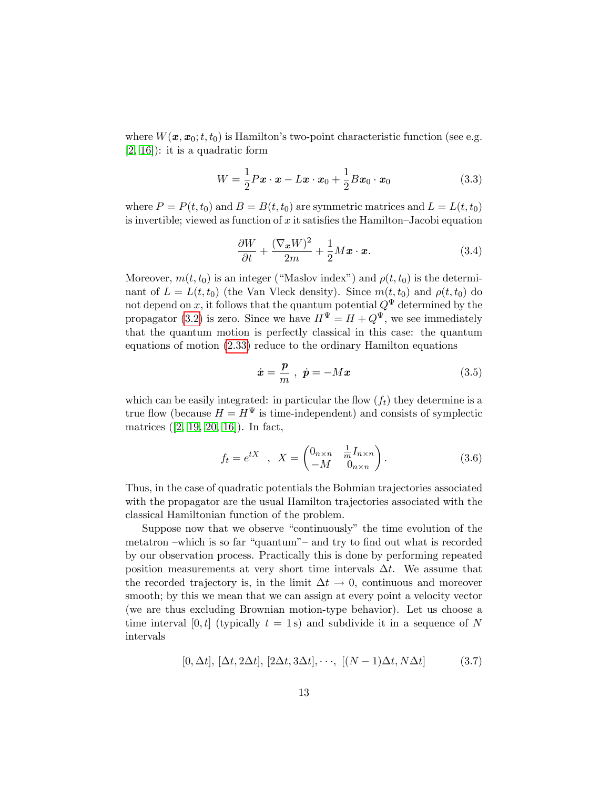where  $W(x, x_0; t, t_0)$  is Hamilton's two-point characteristic function (see e.g. [\[2,](#page-17-0) [16\]](#page-18-8)): it is a quadratic form

$$
W = \frac{1}{2} P \boldsymbol{x} \cdot \boldsymbol{x} - L \boldsymbol{x} \cdot \boldsymbol{x}_0 + \frac{1}{2} B \boldsymbol{x}_0 \cdot \boldsymbol{x}_0 \tag{3.3}
$$

where  $P = P(t, t_0)$  and  $B = B(t, t_0)$  are symmetric matrices and  $L = L(t, t_0)$ is invertible; viewed as function of x it satisfies the Hamilton–Jacobi equation

$$
\frac{\partial W}{\partial t} + \frac{(\nabla_{\boldsymbol{x}} W)^2}{2m} + \frac{1}{2} M {\boldsymbol{x}} \cdot {\boldsymbol{x}}.
$$
 (3.4)

Moreover,  $m(t, t_0)$  is an integer ("Maslov index") and  $\rho(t, t_0)$  is the determinant of  $L = L(t, t_0)$  (the Van Vleck density). Since  $m(t, t_0)$  and  $\rho(t, t_0)$  do not depend on x, it follows that the quantum potential  $Q^{\Psi}$  determined by the propagator [\(3.2\)](#page-11-0) is zero. Since we have  $H^{\Psi} = H + Q^{\Psi}$ , we see immediately that the quantum motion is perfectly classical in this case: the quantum equations of motion [\(2.33\)](#page-8-3) reduce to the ordinary Hamilton equations

$$
\dot{\boldsymbol{x}} = \frac{\boldsymbol{p}}{m} , \ \dot{\boldsymbol{p}} = -M\boldsymbol{x} \tag{3.5}
$$

which can be easily integrated: in particular the flow  $(f_t)$  they determine is a true flow (because  $H = H^{\Psi}$  is time-independent) and consists of symplectic matrices ([\[2,](#page-17-0) [19,](#page-19-7) [20,](#page-19-6) [16\]](#page-18-8)). In fact,

$$
f_t = e^{tX} , X = \begin{pmatrix} 0_{n \times n} & \frac{1}{m} I_{n \times n} \\ -M & 0_{n \times n} \end{pmatrix}.
$$
 (3.6)

Thus, in the case of quadratic potentials the Bohmian trajectories associated with the propagator are the usual Hamilton trajectories associated with the classical Hamiltonian function of the problem.

Suppose now that we observe "continuously" the time evolution of the metatron  $-\text{which}$  is so far "quantum" – and try to find out what is recorded by our observation process. Practically this is done by performing repeated position measurements at very short time intervals  $\Delta t$ . We assume that the recorded trajectory is, in the limit  $\Delta t \to 0$ , continuous and moreover smooth; by this we mean that we can assign at every point a velocity vector (we are thus excluding Brownian motion-type behavior). Let us choose a time interval [0, t] (typically  $t = 1$  s) and subdivide it in a sequence of N intervals

$$
[0, \Delta t], [\Delta t, 2\Delta t], [2\Delta t, 3\Delta t], \cdots, [(N-1)\Delta t, N\Delta t]
$$
 (3.7)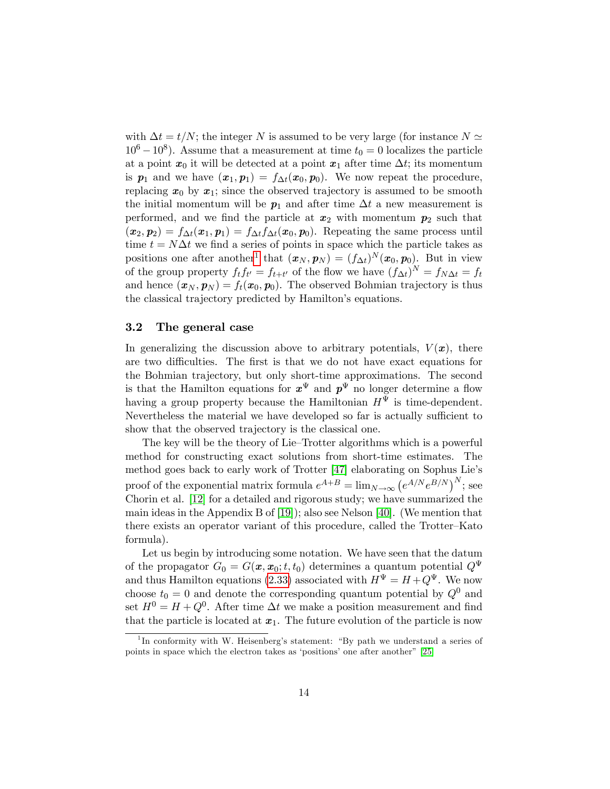with  $\Delta t = t/N$ ; the integer N is assumed to be very large (for instance  $N \simeq$  $10^6 - 10^8$ ). Assume that a measurement at time  $t_0 = 0$  localizes the particle at a point  $x_0$  it will be detected at a point  $x_1$  after time  $\Delta t$ ; its momentum is  $p_1$  and we have  $(x_1, p_1) = f_{\Delta t}(x_0, p_0)$ . We now repeat the procedure, replacing  $x_0$  by  $x_1$ ; since the observed trajectory is assumed to be smooth the initial momentum will be  $p_1$  and after time  $\Delta t$  a new measurement is performed, and we find the particle at  $x_2$  with momentum  $p_2$  such that  $(\bm{x}_2, \bm{p}_2) = f_{\Delta t}(\bm{x}_1, \bm{p}_1) = f_{\Delta t}f_{\Delta t}(\bm{x}_0, \bm{p}_0).$  Repeating the same process until time  $t = N\Delta t$  we find a series of points in space which the particle takes as positions one after another<sup>[1](#page-13-0)</sup> that  $(\boldsymbol{x}_N, \boldsymbol{p}_N) = (f_{\Delta t})^N(\boldsymbol{x}_0, \boldsymbol{p}_0)$ . But in view of the group property  $f_t f_{t'} = f_{t+t'}$  of the flow we have  $(f_{\Delta t})^N = f_{N\Delta t} = f_t$ and hence  $(\boldsymbol{x}_N, \boldsymbol{p}_N) = f_t(\boldsymbol{x}_0, \boldsymbol{p}_0)$ . The observed Bohmian trajectory is thus the classical trajectory predicted by Hamilton's equations.

### 3.2 The general case

In generalizing the discussion above to arbitrary potentials,  $V(\boldsymbol{x})$ , there are two difficulties. The first is that we do not have exact equations for the Bohmian trajectory, but only short-time approximations. The second is that the Hamilton equations for  $x^{\Psi}$  and  $p^{\Psi}$  no longer determine a flow having a group property because the Hamiltonian  $H^{\Psi}$  is time-dependent. Nevertheless the material we have developed so far is actually sufficient to show that the observed trajectory is the classical one.

The key will be the theory of Lie–Trotter algorithms which is a powerful method for constructing exact solutions from short-time estimates. The method goes back to early work of Trotter [\[47\]](#page-21-3) elaborating on Sophus Lie's proof of the exponential matrix formula  $e^{A+B} = \lim_{N \to \infty} (e^{A/N} e^{B/N})^N$ ; see Chorin et al. [\[12\]](#page-18-6) for a detailed and rigorous study; we have summarized the main ideas in the Appendix B of [\[19\]](#page-19-7)); also see Nelson [\[40\]](#page-20-9). (We mention that there exists an operator variant of this procedure, called the Trotter–Kato formula).

Let us begin by introducing some notation. We have seen that the datum of the propagator  $G_0 = G(x, x_0; t, t_0)$  determines a quantum potential  $Q^{\Psi}$ and thus Hamilton equations [\(2.33\)](#page-8-3) associated with  $H^{\Psi} = H + Q^{\Psi}$ . We now choose  $t_0 = 0$  and denote the corresponding quantum potential by  $Q^0$  and set  $H^0 = H + Q^0$ . After time  $\Delta t$  we make a position measurement and find that the particle is located at  $x_1$ . The future evolution of the particle is now

<span id="page-13-0"></span><sup>&</sup>lt;sup>1</sup>In conformity with W. Heisenberg's statement: "By path we understand a series of points in space which the electron takes as 'positions' one after another"  $[25]$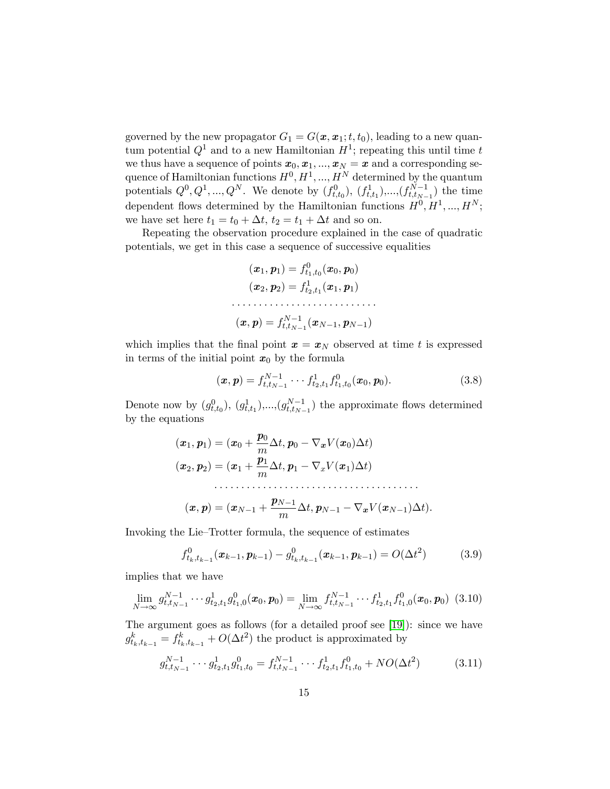governed by the new propagator  $G_1 = G(\mathbf{x}, \mathbf{x}_1; t, t_0)$ , leading to a new quantum potential  $Q^1$  and to a new Hamiltonian  $H^1$ ; repeating this until time t we thus have a sequence of points  $x_0, x_1, ..., x_N = x$  and a corresponding sequence of Hamiltonian functions  $H^0, H^1, ..., H^N$  determined by the quantum potentials  $Q^0, Q^1, ..., Q^N$ . We denote by  $(f_{t,t_0}^0), (f_{t,t_1}^1), ..., (f_{t,t_{N-1}}^{N-1})$  the time dependent flows determined by the Hamiltonian functions  $H^0, H^1, ..., H^N$ ; we have set here  $t_1 = t_0 + \Delta t$ ,  $t_2 = t_1 + \Delta t$  and so on.

Repeating the observation procedure explained in the case of quadratic potentials, we get in this case a sequence of successive equalities

$$
\begin{aligned} (\bm{x}_1, \bm{p}_1) &= f_{t_1,t_0}^0(\bm{x}_0, \bm{p}_0) \\ (\bm{x}_2, \bm{p}_2) &= f_{t_2,t_1}^1(\bm{x}_1, \bm{p}_1) \\ & \dotsb \dotsb \dotsb \dots \\ (\bm{x}, \bm{p}) &= f_{t,t_{N-1}}^{N-1}(\bm{x}_{N-1}, \bm{p}_{N-1}) \end{aligned}
$$

which implies that the final point  $x = x_N$  observed at time t is expressed in terms of the initial point  $x_0$  by the formula

$$
(\boldsymbol{x}, \boldsymbol{p}) = f_{t, t_{N-1}}^{N-1} \cdots f_{t_{2}, t_{1}}^{1} f_{t_{1}, t_{0}}^{0} (\boldsymbol{x}_{0}, \boldsymbol{p}_{0}). \qquad (3.8)
$$

Denote now by  $(g_{t,t_0}^0)$ ,  $(g_{t,t_1}^1)$ ,..., $(g_{t,t_{N-1}}^{N-1})$  the approximate flows determined by the equations

(x1; p1) = (x<sup>0</sup> + p0 m t; p<sup>0</sup> rxV (x0)t) (x2; p2) = (x<sup>1</sup> + p1 m t; p<sup>1</sup> rxV (x1)t) (x; p) = (xN<sup>1</sup> + pN<sup>1</sup> m t; pN<sup>1</sup> rxV (xN1)t):

Invoking the Lie–Trotter formula, the sequence of estimates

$$
f_{t_k, t_{k-1}}^0(\boldsymbol{x}_{k-1}, \boldsymbol{p}_{k-1}) - g_{t_k, t_{k-1}}^0(\boldsymbol{x}_{k-1}, \boldsymbol{p}_{k-1}) = O(\Delta t^2)
$$
 (3.9)

implies that we have

$$
\lim_{N \to \infty} g_{t,t_{N-1}}^{N-1} \cdots g_{t_2,t_1}^1 g_{t_1,0}^0(\boldsymbol{x}_0, \boldsymbol{p}_0) = \lim_{N \to \infty} f_{t,t_{N-1}}^{N-1} \cdots f_{t_2,t_1}^1 f_{t_1,0}^0(\boldsymbol{x}_0, \boldsymbol{p}_0) \tag{3.10}
$$

The argument goes as follows (for a detailed proof see [\[19\]](#page-19-7)): since we have  $g_{t_k,t_{k-1}}^k = f_{t_k,t_{k-1}}^k + O(\Delta t^2)$  the product is approximated by

$$
g_{t,t_{N-1}}^{N-1} \cdots g_{t_2,t_1}^1 g_{t_1,t_0}^0 = f_{t,t_{N-1}}^{N-1} \cdots f_{t_2,t_1}^1 f_{t_1,t_0}^0 + NO(\Delta t^2)
$$
 (3.11)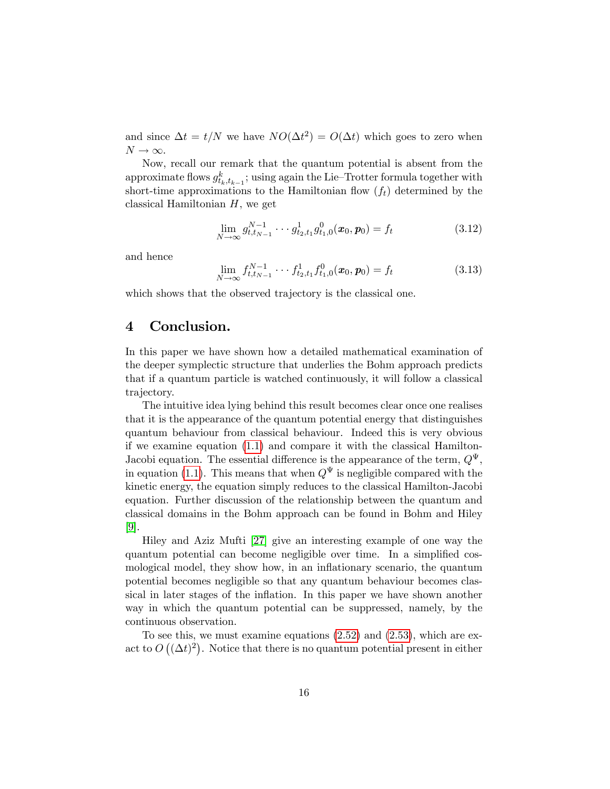and since  $\Delta t = t/N$  we have  $NO(\Delta t^2) = O(\Delta t)$  which goes to zero when  $N \rightarrow \infty$ .

Now, recall our remark that the quantum potential is absent from the approximate flows  $g_{t_k,t_{k-1}}^k$ ; using again the Lie–Trotter formula together with short-time approximations to the Hamiltonian flow  $(f_t)$  determined by the classical Hamiltonian  $H$ , we get

$$
\lim_{N \to \infty} g_{t, t_{N-1}}^{N-1} \cdots g_{t_2, t_1}^1 g_{t_1, 0}^0(\boldsymbol{x}_0, \boldsymbol{p}_0) = f_t
$$
\n(3.12)

and hence

$$
\lim_{N \to \infty} f_{t, t_{N-1}}^{N-1} \cdots f_{t_2, t_1}^1 f_{t_1, 0}^0(\boldsymbol{x}_0, \boldsymbol{p}_0) = f_t
$$
\n(3.13)

which shows that the observed trajectory is the classical one.

# 4 Conclusion.

In this paper we have shown how a detailed mathematical examination of the deeper symplectic structure that underlies the Bohm approach predicts that if a quantum particle is watched continuously, it will follow a classical trajectory.

The intuitive idea lying behind this result becomes clear once one realises that it is the appearance of the quantum potential energy that distinguishes quantum behaviour from classical behaviour. Indeed this is very obvious if we examine equation [\(1.1\)](#page-1-0) and compare it with the classical Hamilton-Jacobi equation. The essential difference is the appearance of the term,  $Q^{\Psi}$ , in equation [\(1.1\)](#page-1-0). This means that when  $Q^{\Psi}$  is negligible compared with the kinetic energy, the equation simply reduces to the classical Hamilton-Jacobi equation. Further discussion of the relationship between the quantum and classical domains in the Bohm approach can be found in Bohm and Hiley [\[9\]](#page-18-9).

Hiley and Aziz Mufti [\[27\]](#page-19-10) give an interesting example of one way the quantum potential can become negligible over time. In a simplified cosmological model, they show how, in an inflationary scenario, the quantum potential becomes negligible so that any quantum behaviour becomes classical in later stages of the inflation. In this paper we have shown another way in which the quantum potential can be suppressed, namely, by the continuous observation.

To see this, we must examine equations [\(2.52\)](#page-11-1) and [\(2.53\)](#page-11-2), which are exact to  $O((\Delta t)^2)$ . Notice that there is no quantum potential present in either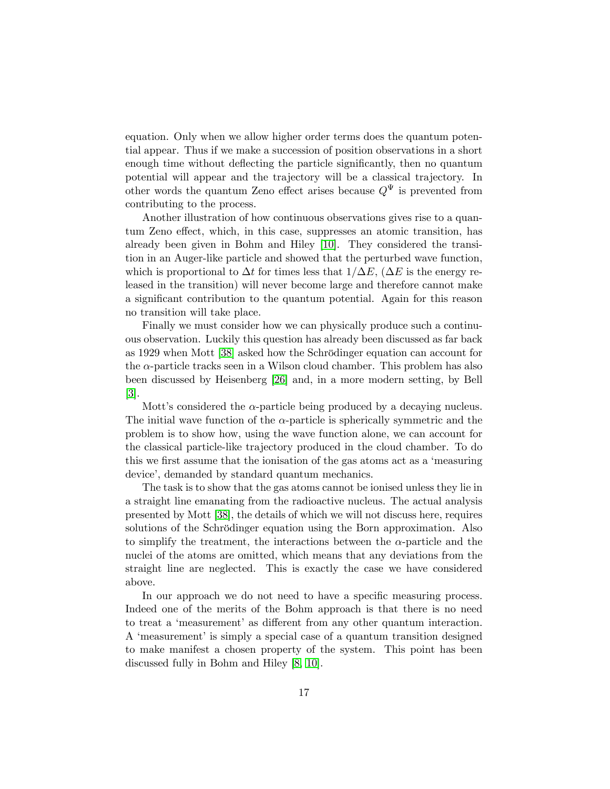equation. Only when we allow higher order terms does the quantum potential appear. Thus if we make a succession of position observations in a short enough time without deflecting the particle significantly, then no quantum potential will appear and the trajectory will be a classical trajectory. In other words the quantum Zeno effect arises because  $Q^{\Psi}$  is prevented from contributing to the process.

Another illustration of how continuous observations gives rise to a quantum Zeno effect, which, in this case, suppresses an atomic transition, has already been given in Bohm and Hiley [\[10\]](#page-18-3). They considered the transition in an Auger-like particle and showed that the perturbed wave function, which is proportional to  $\Delta t$  for times less that  $1/\Delta E$ , ( $\Delta E$  is the energy released in the transition) will never become large and therefore cannot make a significant contribution to the quantum potential. Again for this reason no transition will take place.

Finally we must consider how we can physically produce such a continuous observation. Luckily this question has already been discussed as far back as 1929 when Mott [\[38\]](#page-20-10) asked how the Schrödinger equation can account for the  $\alpha$ -particle tracks seen in a Wilson cloud chamber. This problem has also been discussed by Heisenberg [\[26\]](#page-19-11) and, in a more modern setting, by Bell [\[3\]](#page-18-10).

Mott's considered the  $\alpha$ -particle being produced by a decaying nucleus. The initial wave function of the  $\alpha$ -particle is spherically symmetric and the problem is to show how, using the wave function alone, we can account for the classical particle-like trajectory produced in the cloud chamber. To do this we first assume that the ionisation of the gas atoms act as a 'measuring device', demanded by standard quantum mechanics.

The task is to show that the gas atoms cannot be ionised unless they lie in a straight line emanating from the radioactive nucleus. The actual analysis presented by Mott [\[38\]](#page-20-10), the details of which we will not discuss here, requires solutions of the Schrödinger equation using the Born approximation. Also to simplify the treatment, the interactions between the  $\alpha$ -particle and the nuclei of the atoms are omitted, which means that any deviations from the straight line are neglected. This is exactly the case we have considered above.

In our approach we do not need to have a specific measuring process. Indeed one of the merits of the Bohm approach is that there is no need to treat a 'measurement' as different from any other quantum interaction. A 'measurement' is simply a special case of a quantum transition designed to make manifest a chosen property of the system. This point has been discussed fully in Bohm and Hiley [\[8,](#page-18-11) [10\]](#page-18-3).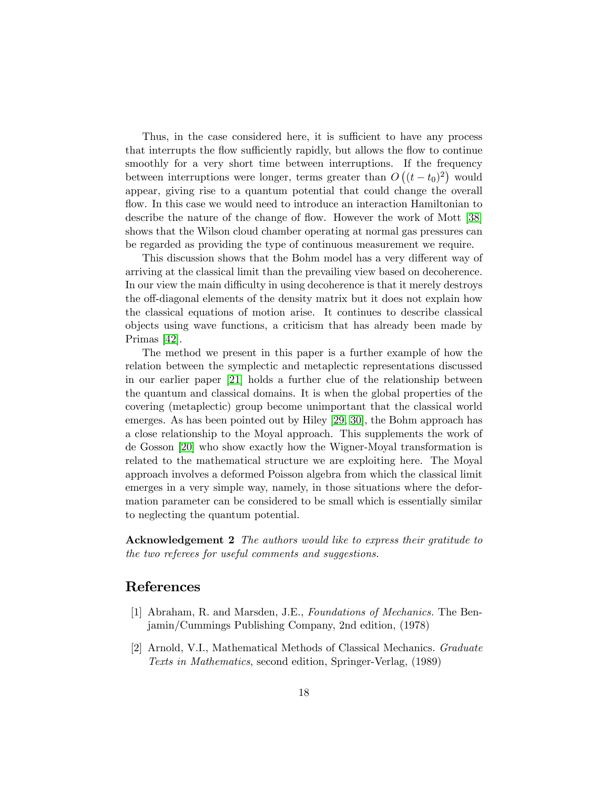Thus, in the case considered here, it is sufficient to have any process that interrupts the flow sufficiently rapidly, but allows the flow to continue smoothly for a very short time between interruptions. If the frequency between interruptions were longer, terms greater than  $O((t-t_0)^2)$  would appear, giving rise to a quantum potential that could change the overall flow. In this case we would need to introduce an interaction Hamiltonian to describe the nature of the change of flow. However the work of Mott [\[38\]](#page-20-10) shows that the Wilson cloud chamber operating at normal gas pressures can be regarded as providing the type of continuous measurement we require.

This discussion shows that the Bohm model has a very different way of arriving at the classical limit than the prevailing view based on decoherence. In our view the main difficulty in using decoherence is that it merely destroys the off-diagonal elements of the density matrix but it does not explain how the classical equations of motion arise. It continues to describe classical objects using wave functions, a criticism that has already been made by Primas [\[42\]](#page-20-11).

The method we present in this paper is a further example of how the relation between the symplectic and metaplectic representations discussed in our earlier paper [\[21\]](#page-19-3) holds a further clue of the relationship between the quantum and classical domains. It is when the global properties of the covering (metaplectic) group become unimportant that the classical world emerges. As has been pointed out by Hiley [\[29,](#page-19-12) [30\]](#page-20-12), the Bohm approach has a close relationship to the Moyal approach. This supplements the work of de Gosson [\[20\]](#page-19-6) who show exactly how the Wigner-Moyal transformation is related to the mathematical structure we are exploiting here. The Moyal approach involves a deformed Poisson algebra from which the classical limit emerges in a very simple way, namely, in those situations where the deformation parameter can be considered to be small which is essentially similar to neglecting the quantum potential.

Acknowledgement 2 The authors would like to express their gratitude to the two referees for useful comments and suggestions.

# References

- [1] Abraham, R. and Marsden, J.E., Foundations of Mechanics. The Benjamin/Cummings Publishing Company, 2nd edition, (1978)
- <span id="page-17-0"></span>[2] Arnold, V.I., Mathematical Methods of Classical Mechanics. Graduate Texts in Mathematics, second edition, Springer-Verlag, (1989)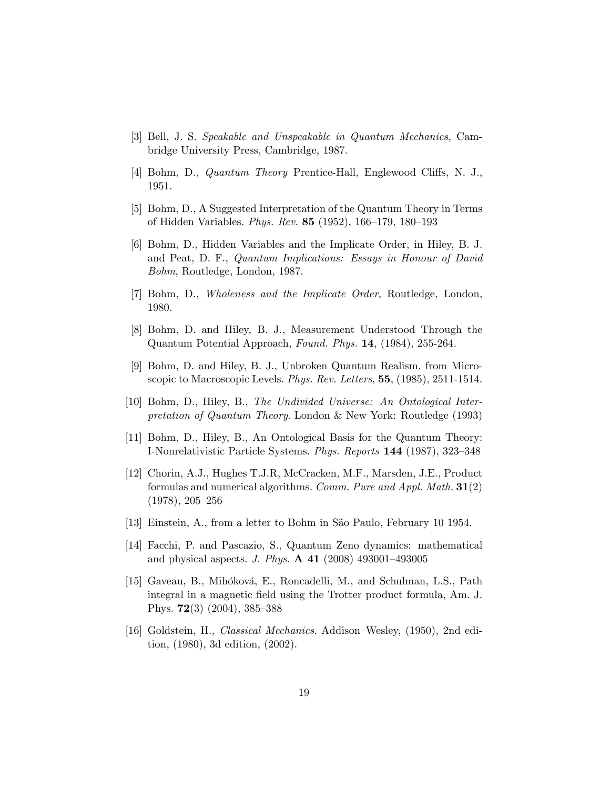- <span id="page-18-10"></span>[3] Bell, J. S. Speakable and Unspeakable in Quantum Mechanics, Cambridge University Press, Cambridge, 1987.
- <span id="page-18-1"></span>[4] Bohm, D., *Quantum Theory* Prentice-Hall, Englewood Cliffs, N. J., 1951.
- [5] Bohm, D., A Suggested Interpretation of the Quantum Theory in Terms of Hidden Variables. *Phys. Rev.* **85** (1952), 166–179, 180–193
- <span id="page-18-2"></span>[6] Bohm, D., Hidden Variables and the Implicate Order, in Hiley, B. J. and Peat, D. F., Quantum Implications: Essays in Honour of David Bohm, Routledge, London, 1987.
- <span id="page-18-5"></span>[7] Bohm, D., Wholeness and the Implicate Order, Routledge, London, 1980.
- <span id="page-18-11"></span>[8] Bohm, D. and Hiley, B. J., Measurement Understood Through the Quantum Potential Approach, Found. Phys. 14, (1984), 255-264.
- <span id="page-18-9"></span>[9] Bohm, D. and Hiley, B. J., Unbroken Quantum Realism, from Microscopic to Macroscopic Levels. Phys. Rev. Letters, 55, (1985), 2511-1514.
- <span id="page-18-3"></span>[10] Bohm, D., Hiley, B., The Undivided Universe: An Ontological Interpretation of Quantum Theory. London & New York: Routledge (1993)
- [11] Bohm, D., Hiley, B., An Ontological Basis for the Quantum Theory: I-Nonrelativistic Particle Systems. Phys. Reports 144 (1987), 323-348
- <span id="page-18-6"></span>[12] Chorin, A.J., Hughes T.J.R, McCracken, M.F., Marsden, J.E., Product formulas and numerical algorithms. Comm. Pure and Appl. Math. 31(2)  $(1978), 205-256$
- <span id="page-18-0"></span>[13] Einstein, A., from a letter to Bohm in São Paulo, February 10 1954.
- <span id="page-18-4"></span>[14] Facchi, P. and Pascazio, S., Quantum Zeno dynamics: mathematical and physical aspects. J. Phys.  $\bf{A}$  41 (2008) 493001-493005
- <span id="page-18-7"></span>[15] Gaveau, B., Mihóková, E., Roncadelli, M., and Schulman, L.S., Path integral in a magnetic field using the Trotter product formula, Am. J. Phys.  $72(3)$  (2004), 385–388
- <span id="page-18-8"></span>[16] Goldstein, H., *Classical Mechanics*. Addison–Wesley,  $(1950)$ , 2nd edition, (1980), 3d edition, (2002).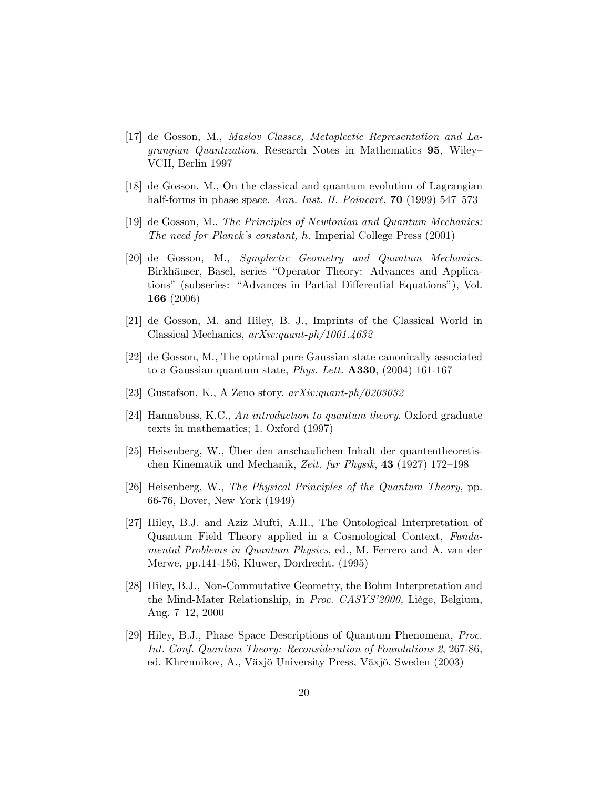- <span id="page-19-4"></span>[17] de Gosson, M., Maslov Classes, Metaplectic Representation and Lagrangian Quantization. Research Notes in Mathematics 95, Wiley-VCH, Berlin 1997
- <span id="page-19-5"></span>[18] de Gosson, M., On the classical and quantum evolution of Lagrangian half-forms in phase space. Ann. Inst. H. Poincaré,  $70$  (1999) 547–573
- <span id="page-19-7"></span>[19] de Gosson, M., The Principles of Newtonian and Quantum Mechanics: The need for Planck's constant, h. Imperial College Press (2001)
- <span id="page-19-6"></span>[20] de Gosson, M., Symplectic Geometry and Quantum Mechanics. Birkhäuser, Basel, series "Operator Theory: Advances and Applications" (subseries: "Advances in Partial Differential Equations"), Vol. 166 (2006)
- <span id="page-19-3"></span>[21] de Gosson, M. and Hiley, B. J., Imprints of the Classical World in Classical Mechanics, arXiv:quant-ph/1001.4632
- <span id="page-19-8"></span>[22] de Gosson, M., The optimal pure Gaussian state canonically associated to a Gaussian quantum state, Phys. Lett. A330, (2004) 161-167
- <span id="page-19-0"></span>[23] Gustafson, K., A Zeno story. arXiv:quant-ph/0203032
- <span id="page-19-1"></span>[24] Hannabuss, K.C., An introduction to quantum theory. Oxford graduate texts in mathematics; 1. Oxford (1997)
- <span id="page-19-9"></span>[25] Heisenberg, W., Über den anschaulichen Inhalt der quantentheoretischen Kinematik und Mechanik, Zeit. fur Physik, 43 (1927) 172–198
- <span id="page-19-11"></span>[26] Heisenberg, W., The Physical Principles of the Quantum Theory, pp. 66-76, Dover, New York (1949)
- <span id="page-19-10"></span>[27] Hiley, B.J. and Aziz Mufti, A.H., The Ontological Interpretation of Quantum Field Theory applied in a Cosmological Context, Fundamental Problems in Quantum Physics, ed., M. Ferrero and A. van der Merwe, pp.141-156, Kluwer, Dordrecht. (1995)
- <span id="page-19-2"></span>[28] Hiley, B.J., Non-Commutative Geometry, the Bohm Interpretation and the Mind-Mater Relationship, in *Proc. CASYS'2000*, Liège, Belgium, Aug. 7-12, 2000
- <span id="page-19-12"></span>[29] Hiley, B.J., Phase Space Descriptions of Quantum Phenomena, Proc. Int. Conf. Quantum Theory: Reconsideration of Foundations 2, 267-86, ed. Khrennikov, A., Växjö University Press, Växjö, Sweden (2003)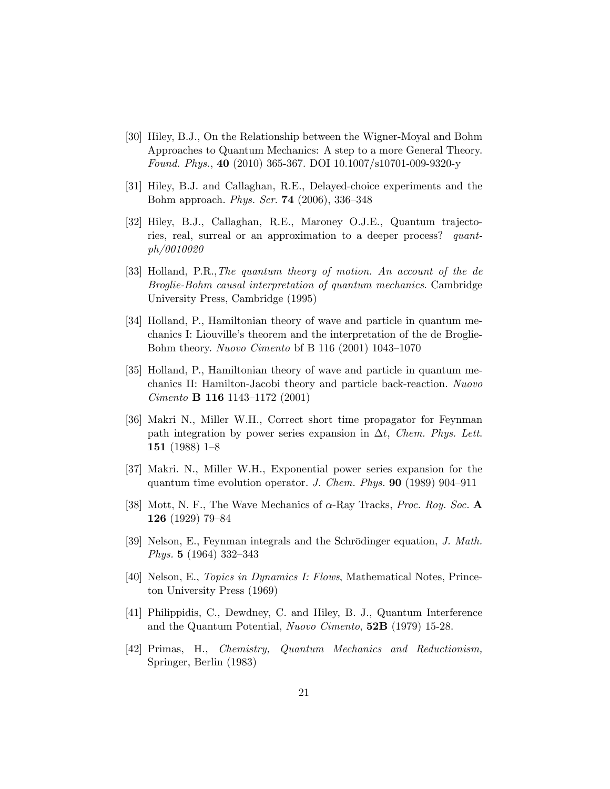- <span id="page-20-12"></span>[30] Hiley, B.J., On the Relationship between the Wigner-Moyal and Bohm Approaches to Quantum Mechanics: A step to a more General Theory. Found. Phys., 40 (2010) 365-367. DOI 10.1007/s10701-009-9320-y
- <span id="page-20-1"></span>[31] Hiley, B.J. and Callaghan, R.E., Delayed-choice experiments and the Bohm approach. *Phys. Scr.* **74** (2006), 336–348
- <span id="page-20-2"></span>[32] Hiley, B.J., Callaghan, R.E., Maroney O.J.E., Quantum trajectories, real, surreal or an approximation to a deeper process? quantph/0010020
- <span id="page-20-3"></span>[33] Holland, P.R.,The quantum theory of motion. An account of the de Broglie-Bohm causal interpretation of quantum mechanics. Cambridge University Press, Cambridge (1995)
- <span id="page-20-4"></span>[34] Holland, P., Hamiltonian theory of wave and particle in quantum mechanics I: Liouville's theorem and the interpretation of the de Broglie-Bohm theory. Nuovo Cimento bf B 116 (2001) 1043–1070
- <span id="page-20-5"></span>[35] Holland, P., Hamiltonian theory of wave and particle in quantum mechanics II: Hamilton-Jacobi theory and particle back-reaction. Nuovo Cimento **B** 116 1143-1172 (2001)
- <span id="page-20-7"></span>[36] Makri N., Miller W.H., Correct short time propagator for Feynman path integration by power series expansion in  $\Delta t$ , Chem. Phys. Lett. 151 (1988) 1–8
- <span id="page-20-8"></span>[37] Makri. N., Miller W.H., Exponential power series expansion for the quantum time evolution operator. J. Chem. Phys.  $90$  (1989) 904–911
- <span id="page-20-10"></span>[38] Mott, N. F., The Wave Mechanics of  $\alpha$ -Ray Tracks, *Proc. Roy. Soc.* A 126  $(1929)$  79–84
- <span id="page-20-6"></span>[39] Nelson, E., Feynman integrals and the Schrödinger equation, J. Math. *Phys.* **5** (1964) 332-343
- <span id="page-20-9"></span>[40] Nelson, E., Topics in Dynamics I: Flows, Mathematical Notes, Princeton University Press (1969)
- <span id="page-20-0"></span>[41] Philippidis, C., Dewdney, C. and Hiley, B. J., Quantum Interference and the Quantum Potential, Nuovo Cimento, 52B (1979) 15-28.
- <span id="page-20-11"></span>[42] Primas, H., Chemistry, Quantum Mechanics and Reductionism, Springer, Berlin (1983)